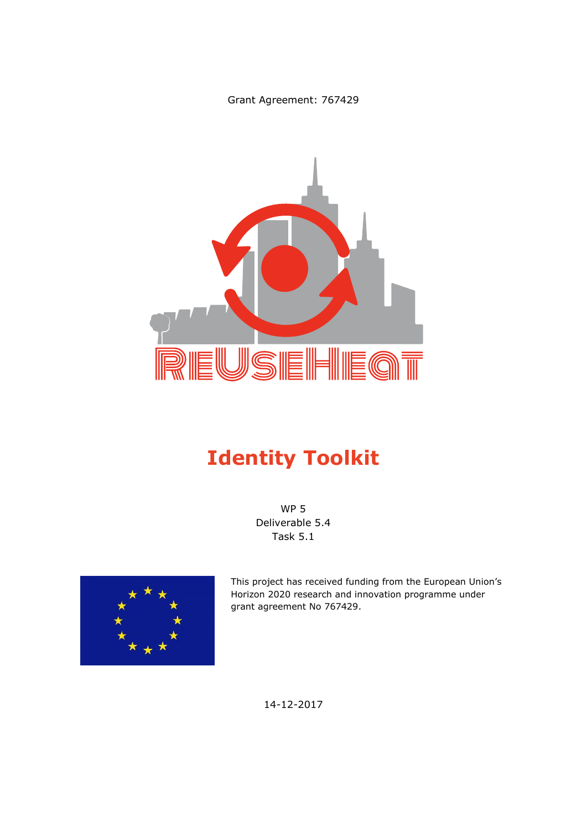Grant Agreement: 767429



# **Identity Toolkit**

WP 5 Deliverable 5.4 Task 5.1



This project has received funding from the European Union's Horizon 2020 research and innovation programme under grant agreement No 767429.

14-12-2017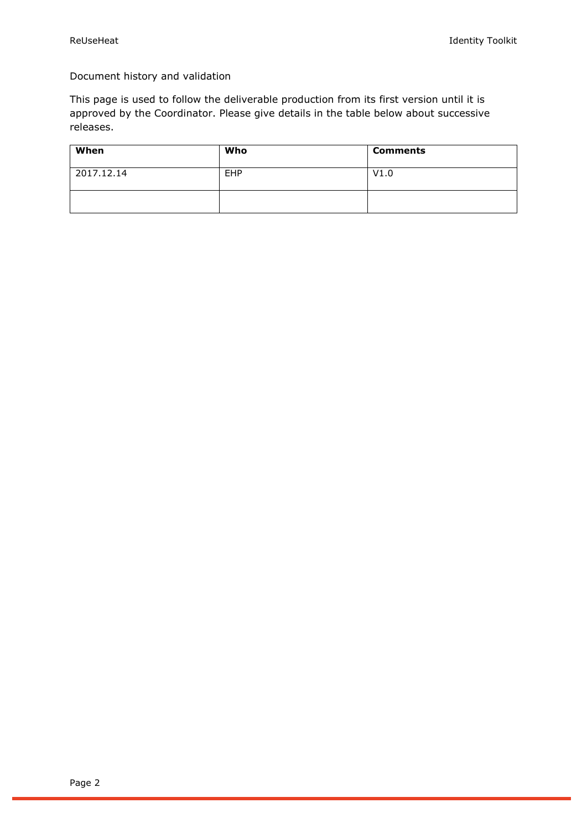Document history and validation

This page is used to follow the deliverable production from its first version until it is approved by the Coordinator. Please give details in the table below about successive releases.

| When       | Who        | <b>Comments</b> |
|------------|------------|-----------------|
| 2017.12.14 | <b>EHP</b> | V1.0            |
|            |            |                 |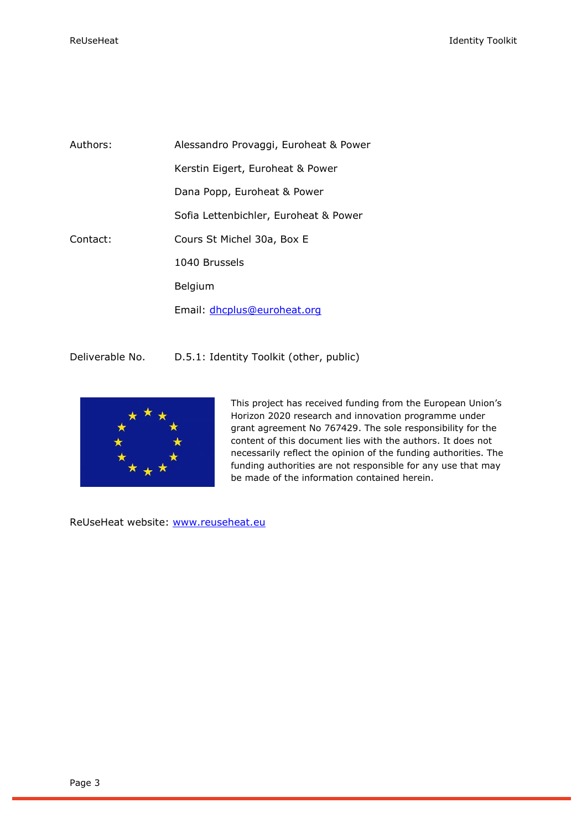| Authors: | Alessandro Provaggi, Euroheat & Power |  |
|----------|---------------------------------------|--|
|          | Kerstin Eigert, Euroheat & Power      |  |
|          | Dana Popp, Euroheat & Power           |  |
|          | Sofia Lettenbichler, Euroheat & Power |  |
| Contact: | Cours St Michel 30a, Box E            |  |
|          | 1040 Brussels                         |  |
|          | Belgium                               |  |
|          | Email: dhcplus@euroheat.org           |  |

Deliverable No. D.5.1: Identity Toolkit (other, public)



This project has received funding from the European Union's Horizon 2020 research and innovation programme under grant agreement No 767429. The sole responsibility for the content of this document lies with the authors. It does not necessarily reflect the opinion of the funding authorities. The funding authorities are not responsible for any use that may be made of the information contained herein.

ReUseHeat website: [www.reuseheat.eu](http://www.reuseheat.eu/)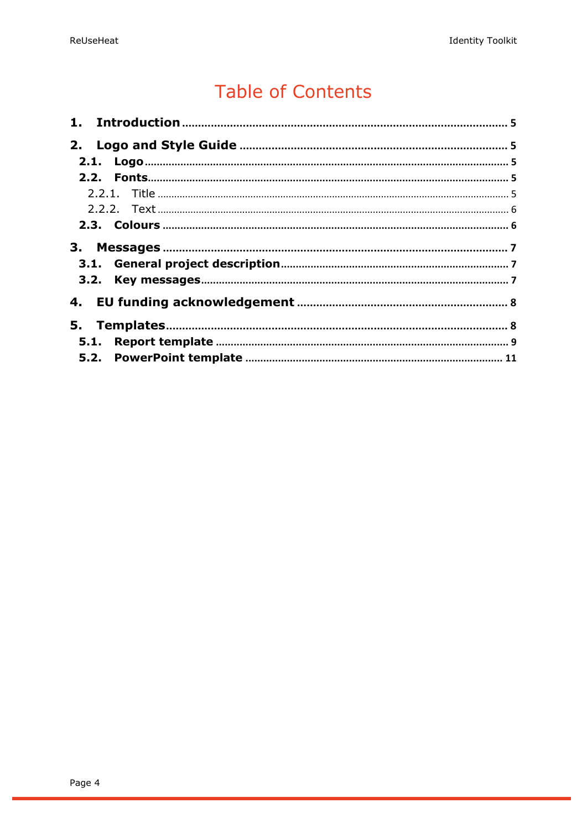# **Table of Contents**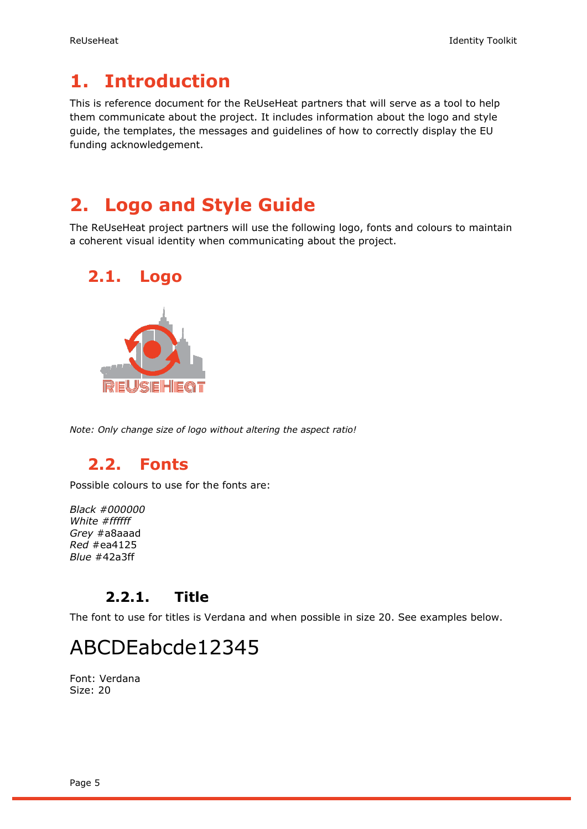## <span id="page-4-0"></span>**1. Introduction**

This is reference document for the ReUseHeat partners that will serve as a tool to help them communicate about the project. It includes information about the logo and style guide, the templates, the messages and guidelines of how to correctly display the EU funding acknowledgement.

## <span id="page-4-1"></span>**2. Logo and Style Guide**

The ReUseHeat project partners will use the following logo, fonts and colours to maintain a coherent visual identity when communicating about the project.

<span id="page-4-2"></span>

*Note: Only change size of logo without altering the aspect ratio!*

### <span id="page-4-3"></span>**2.2. Fonts**

Possible colours to use for the fonts are:

*Black #000000 White #ffffff Grey* #a8aaad *Red* #ea4125 *Blue* #42a3ff

#### **2.2.1. Title**

<span id="page-4-4"></span>The font to use for titles is Verdana and when possible in size 20. See examples below.

# ABCDEabcde12345

Font: Verdana Size: 20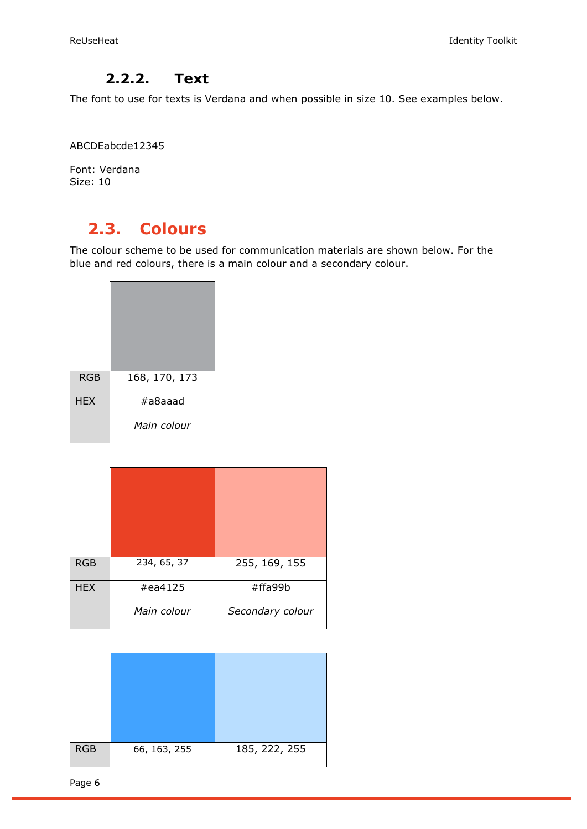#### **2.2.2. Text**

<span id="page-5-0"></span>The font to use for texts is Verdana and when possible in size 10. See examples below.

ABCDEabcde12345

Font: Verdana Size: 10

### <span id="page-5-1"></span>**2.3. Colours**

The colour scheme to be used for communication materials are shown below. For the blue and red colours, there is a main colour and a secondary colour.

| <b>RGB</b> | 168, 170, 173 |
|------------|---------------|
| <b>HEX</b> | #a8aaad       |
|            | Main colour   |

| <b>RGB</b> | 234, 65, 37 | 255, 169, 155    |
|------------|-------------|------------------|
| <b>HEX</b> | #ea4125     | #ffa99b          |
|            | Main colour | Secondary colour |

| <b>RGB</b> | 66, 163, 255 | 185, 222, 255 |
|------------|--------------|---------------|

Page 6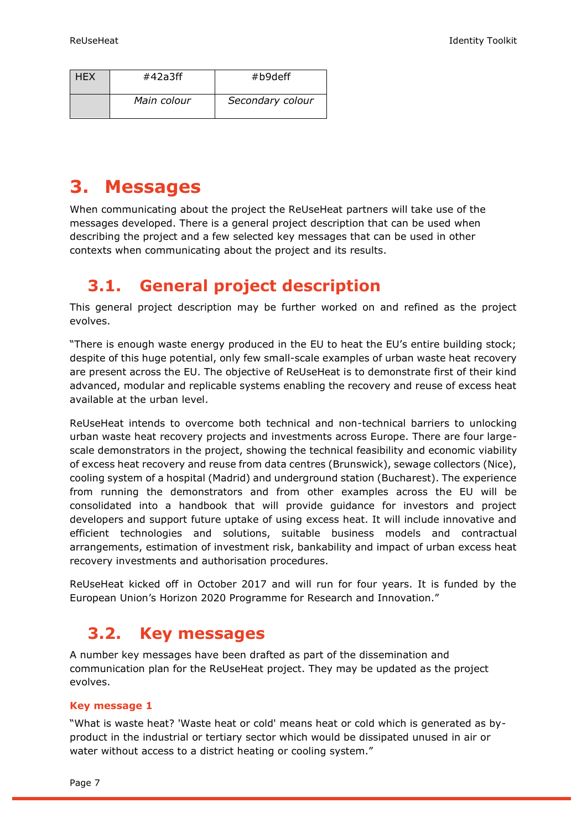| <b>HEX</b> | #42a3ff     | #b9deff          |  |
|------------|-------------|------------------|--|
|            | Main colour | Secondary colour |  |

## <span id="page-6-0"></span>**3. Messages**

When communicating about the project the ReUseHeat partners will take use of the messages developed. There is a general project description that can be used when describing the project and a few selected key messages that can be used in other contexts when communicating about the project and its results.

## <span id="page-6-1"></span>**3.1. General project description**

This general project description may be further worked on and refined as the project evolves.

"There is enough waste energy produced in the EU to heat the EU's entire building stock; despite of this huge potential, only few small-scale examples of urban waste heat recovery are present across the EU. The objective of ReUseHeat is to demonstrate first of their kind advanced, modular and replicable systems enabling the recovery and reuse of excess heat available at the urban level.

ReUseHeat intends to overcome both technical and non-technical barriers to unlocking urban waste heat recovery projects and investments across Europe. There are four largescale demonstrators in the project, showing the technical feasibility and economic viability of excess heat recovery and reuse from data centres (Brunswick), sewage collectors (Nice), cooling system of a hospital (Madrid) and underground station (Bucharest). The experience from running the demonstrators and from other examples across the EU will be consolidated into a handbook that will provide guidance for investors and project developers and support future uptake of using excess heat. It will include innovative and efficient technologies and solutions, suitable business models and contractual arrangements, estimation of investment risk, bankability and impact of urban excess heat recovery investments and authorisation procedures.

ReUseHeat kicked off in October 2017 and will run for four years. It is funded by the European Union's Horizon 2020 Programme for Research and Innovation."

#### <span id="page-6-2"></span>**3.2. Key messages**

A number key messages have been drafted as part of the dissemination and communication plan for the ReUseHeat project. They may be updated as the project evolves.

#### **Key message 1**

"What is waste heat? 'Waste heat or cold' means heat or cold which is generated as byproduct in the industrial or tertiary sector which would be dissipated unused in air or water without access to a district heating or cooling system."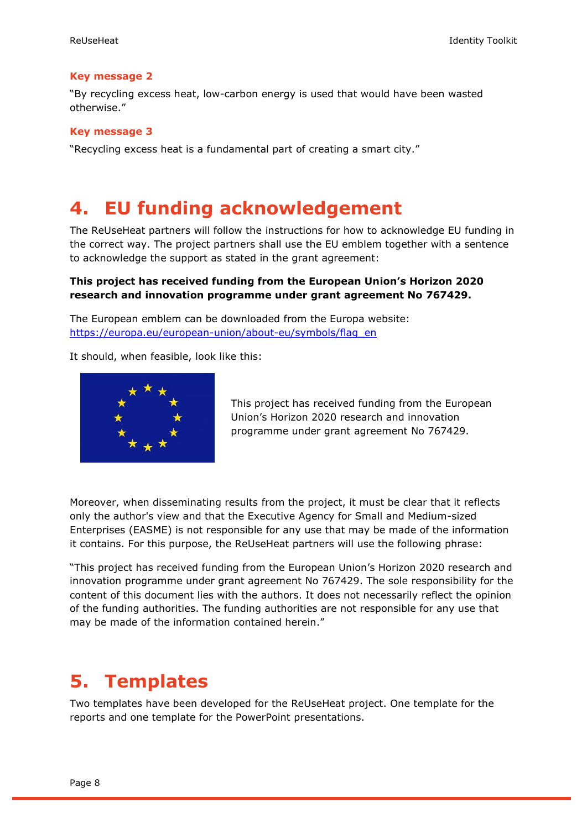#### **Key message 2**

"By recycling excess heat, low-carbon energy is used that would have been wasted otherwise."

#### **Key message 3**

"Recycling excess heat is a fundamental part of creating a smart city."

#### <span id="page-7-0"></span>**4. EU funding acknowledgement**

The ReUseHeat partners will follow the instructions for how to acknowledge EU funding in the correct way. The project partners shall use the EU emblem together with a sentence to acknowledge the support as stated in the grant agreement:

#### **This project has received funding from the European Union's Horizon 2020 research and innovation programme under grant agreement No 767429.**

The European emblem can be downloaded from the Europa website: [https://europa.eu/european-union/about-eu/symbols/flag\\_en](https://europa.eu/european-union/about-eu/symbols/flag_en)

It should, when feasible, look like this:



This project has received funding from the European Union's Horizon 2020 research and innovation programme under grant agreement No 767429.

Moreover, when disseminating results from the project, it must be clear that it reflects only the author's view and that the Executive Agency for Small and Medium-sized Enterprises (EASME) is not responsible for any use that may be made of the information it contains. For this purpose, the ReUseHeat partners will use the following phrase:

"This project has received funding from the European Union's Horizon 2020 research and innovation programme under grant agreement No 767429. The sole responsibility for the content of this document lies with the authors. It does not necessarily reflect the opinion of the funding authorities. The funding authorities are not responsible for any use that may be made of the information contained herein."

#### <span id="page-7-1"></span>**5. Templates**

Two templates have been developed for the ReUseHeat project. One template for the reports and one template for the PowerPoint presentations.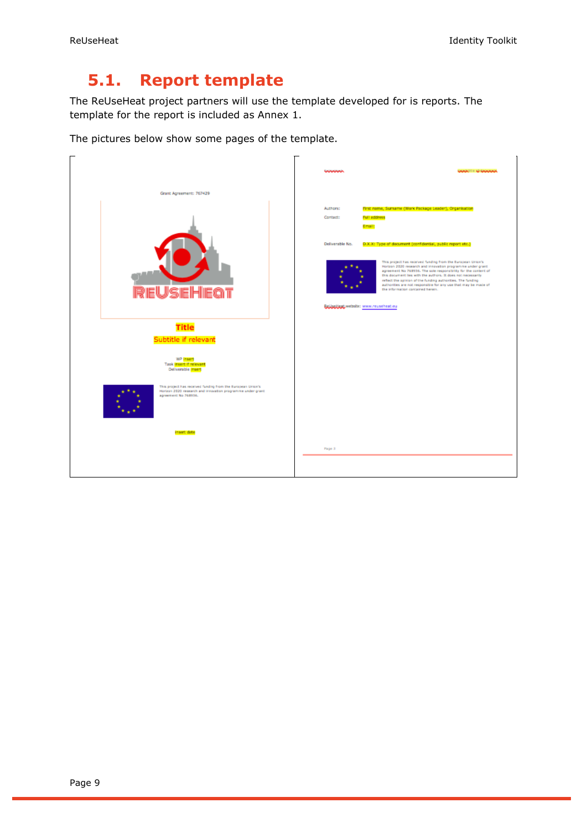## <span id="page-8-0"></span>**5.1. Report template**

The ReUseHeat project partners will use the template developed for is reports. The template for the report is included as Annex 1.

The pictures below show some pages of the template.

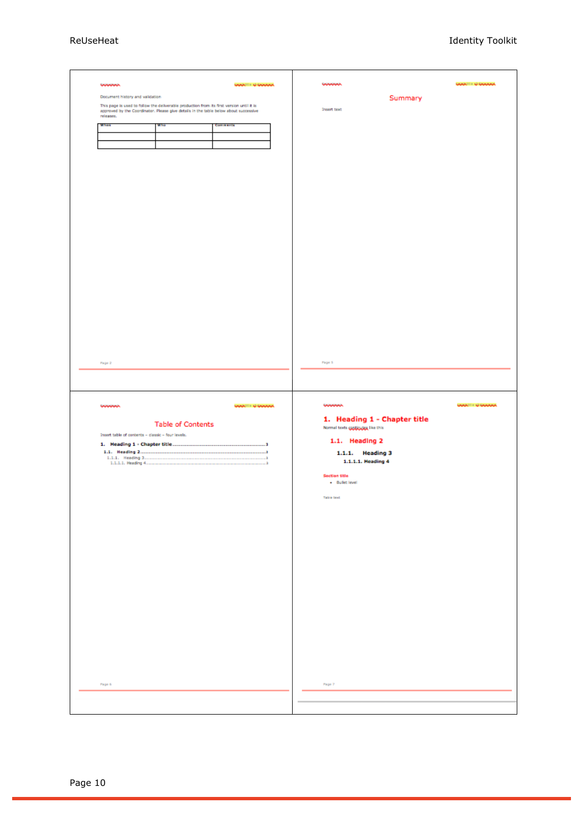| wwww.                                             |                                                                                                                                                                                   | <b>WARTH &amp; WARRA</b>             | wwww.                              |                              | <b>WARREN &amp; WARRAN</b> |
|---------------------------------------------------|-----------------------------------------------------------------------------------------------------------------------------------------------------------------------------------|--------------------------------------|------------------------------------|------------------------------|----------------------------|
|                                                   |                                                                                                                                                                                   |                                      |                                    |                              |                            |
| Document history and validation                   |                                                                                                                                                                                   |                                      |                                    | Summary                      |                            |
|                                                   | This page is used to follow the deliverable production from its first version until it is<br>approved by the Coordinator. Please give details in the table below about successive |                                      | <b>Insert text</b>                 |                              |                            |
| releases.                                         |                                                                                                                                                                                   |                                      |                                    |                              |                            |
| When                                              | W Priz                                                                                                                                                                            | Comments                             |                                    |                              |                            |
|                                                   |                                                                                                                                                                                   |                                      |                                    |                              |                            |
|                                                   |                                                                                                                                                                                   |                                      |                                    |                              |                            |
|                                                   |                                                                                                                                                                                   |                                      |                                    |                              |                            |
|                                                   |                                                                                                                                                                                   |                                      |                                    |                              |                            |
|                                                   |                                                                                                                                                                                   |                                      |                                    |                              |                            |
|                                                   |                                                                                                                                                                                   |                                      |                                    |                              |                            |
|                                                   |                                                                                                                                                                                   |                                      |                                    |                              |                            |
|                                                   |                                                                                                                                                                                   |                                      |                                    |                              |                            |
|                                                   |                                                                                                                                                                                   |                                      |                                    |                              |                            |
|                                                   |                                                                                                                                                                                   |                                      |                                    |                              |                            |
|                                                   |                                                                                                                                                                                   |                                      |                                    |                              |                            |
|                                                   |                                                                                                                                                                                   |                                      |                                    |                              |                            |
|                                                   |                                                                                                                                                                                   |                                      |                                    |                              |                            |
|                                                   |                                                                                                                                                                                   |                                      |                                    |                              |                            |
|                                                   |                                                                                                                                                                                   |                                      |                                    |                              |                            |
|                                                   |                                                                                                                                                                                   |                                      |                                    |                              |                            |
|                                                   |                                                                                                                                                                                   |                                      |                                    |                              |                            |
|                                                   |                                                                                                                                                                                   |                                      |                                    |                              |                            |
|                                                   |                                                                                                                                                                                   |                                      |                                    |                              |                            |
|                                                   |                                                                                                                                                                                   |                                      |                                    |                              |                            |
|                                                   |                                                                                                                                                                                   |                                      |                                    |                              |                            |
|                                                   |                                                                                                                                                                                   |                                      |                                    |                              |                            |
|                                                   |                                                                                                                                                                                   |                                      |                                    |                              |                            |
|                                                   |                                                                                                                                                                                   |                                      |                                    |                              |                            |
|                                                   |                                                                                                                                                                                   |                                      |                                    |                              |                            |
|                                                   |                                                                                                                                                                                   |                                      |                                    |                              |                            |
|                                                   |                                                                                                                                                                                   |                                      |                                    |                              |                            |
| Page 2                                            |                                                                                                                                                                                   |                                      | Page 5                             |                              |                            |
|                                                   |                                                                                                                                                                                   |                                      |                                    |                              |                            |
|                                                   |                                                                                                                                                                                   |                                      |                                    |                              |                            |
|                                                   |                                                                                                                                                                                   |                                      |                                    |                              |                            |
|                                                   |                                                                                                                                                                                   |                                      |                                    |                              |                            |
|                                                   |                                                                                                                                                                                   |                                      |                                    |                              |                            |
| wwww                                              |                                                                                                                                                                                   | <b>WARTH &amp; WARAN</b>             | wwww.                              |                              | <b>WARREN &amp; WARRAN</b> |
|                                                   |                                                                                                                                                                                   |                                      |                                    |                              |                            |
|                                                   |                                                                                                                                                                                   |                                      |                                    |                              |                            |
|                                                   | <b>Table of Contents</b>                                                                                                                                                          |                                      |                                    | 1. Heading 1 - Chapter title |                            |
| Insert table of contents - classic - four levels. |                                                                                                                                                                                   |                                      | Normal texts gaptiquique like this |                              |                            |
|                                                   |                                                                                                                                                                                   | J                                    | 1.1. Heading 2                     |                              |                            |
|                                                   |                                                                                                                                                                                   | ______________________________<br>ă. |                                    |                              |                            |
| 1.1.1. Heading 3                                  |                                                                                                                                                                                   | - 1                                  |                                    | 1.1.1. Heading 3             |                            |
| 1.1.1.1. Heading 4                                |                                                                                                                                                                                   | ٠,                                   |                                    | 1.1.1.1. Heading 4           |                            |
|                                                   |                                                                                                                                                                                   |                                      | <b>Section title</b>               |                              |                            |
|                                                   |                                                                                                                                                                                   |                                      | + Bullet level                     |                              |                            |
|                                                   |                                                                                                                                                                                   |                                      |                                    |                              |                            |
|                                                   |                                                                                                                                                                                   |                                      | <b>Table text</b>                  |                              |                            |
|                                                   |                                                                                                                                                                                   |                                      |                                    |                              |                            |
|                                                   |                                                                                                                                                                                   |                                      |                                    |                              |                            |
|                                                   |                                                                                                                                                                                   |                                      |                                    |                              |                            |
|                                                   |                                                                                                                                                                                   |                                      |                                    |                              |                            |
|                                                   |                                                                                                                                                                                   |                                      |                                    |                              |                            |
|                                                   |                                                                                                                                                                                   |                                      |                                    |                              |                            |
|                                                   |                                                                                                                                                                                   |                                      |                                    |                              |                            |
|                                                   |                                                                                                                                                                                   |                                      |                                    |                              |                            |
|                                                   |                                                                                                                                                                                   |                                      |                                    |                              |                            |
|                                                   |                                                                                                                                                                                   |                                      |                                    |                              |                            |
|                                                   |                                                                                                                                                                                   |                                      |                                    |                              |                            |
|                                                   |                                                                                                                                                                                   |                                      |                                    |                              |                            |
|                                                   |                                                                                                                                                                                   |                                      |                                    |                              |                            |
|                                                   |                                                                                                                                                                                   |                                      |                                    |                              |                            |
|                                                   |                                                                                                                                                                                   |                                      |                                    |                              |                            |
|                                                   |                                                                                                                                                                                   |                                      |                                    |                              |                            |
|                                                   |                                                                                                                                                                                   |                                      |                                    |                              |                            |
|                                                   |                                                                                                                                                                                   |                                      |                                    |                              |                            |
|                                                   |                                                                                                                                                                                   |                                      |                                    |                              |                            |
|                                                   |                                                                                                                                                                                   |                                      |                                    |                              |                            |
|                                                   |                                                                                                                                                                                   |                                      |                                    |                              |                            |
|                                                   |                                                                                                                                                                                   |                                      |                                    |                              |                            |
| Page 6                                            |                                                                                                                                                                                   |                                      | Page 7                             |                              |                            |
|                                                   |                                                                                                                                                                                   |                                      |                                    |                              |                            |
|                                                   |                                                                                                                                                                                   |                                      |                                    |                              |                            |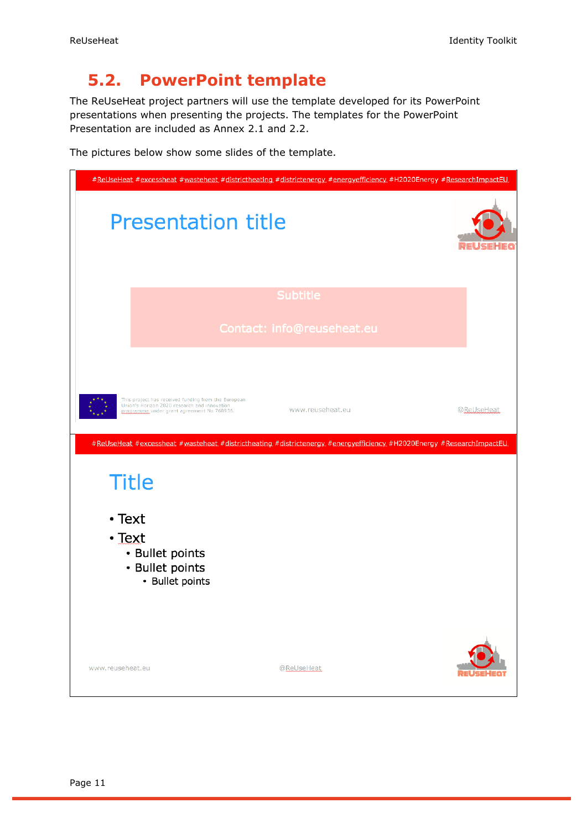### <span id="page-10-0"></span>**5.2. PowerPoint template**

The ReUseHeat project partners will use the template developed for its PowerPoint presentations when presenting the projects. The templates for the PowerPoint Presentation are included as Annex 2.1 and 2.2.

The pictures below show some slides of the template.

|                  |                                                                                                                                                   | #ReUseHeat #excessheat #wasteheat #districtheating #districtenergy #energyefficiency #H2020Energy #ResearchImpactEU |            |
|------------------|---------------------------------------------------------------------------------------------------------------------------------------------------|---------------------------------------------------------------------------------------------------------------------|------------|
|                  | <b>Presentation title</b>                                                                                                                         |                                                                                                                     |            |
|                  |                                                                                                                                                   | <b>Subtitle</b>                                                                                                     |            |
|                  |                                                                                                                                                   | Contact: info@reuseheat.eu                                                                                          |            |
|                  | This project has received funding from the European<br>Union's Horizon 2020 research and innovation<br>programme under grant agreement No 768936. | www.reuseheat.eu                                                                                                    | @ReUseHeat |
|                  |                                                                                                                                                   | #ReUseHeat #excessheat #wasteheat #districtheating #districtenergy #energyefficiency #H2020Energy #ResearchImpactEU |            |
| <b>Title</b>     |                                                                                                                                                   |                                                                                                                     |            |
| $\cdot$ Text     |                                                                                                                                                   |                                                                                                                     |            |
| $\cdot$ Text     | • Bullet points<br>• Bullet points<br>• Bullet points                                                                                             |                                                                                                                     |            |
| www.reuseheat.eu |                                                                                                                                                   | @ReUseHeat                                                                                                          |            |